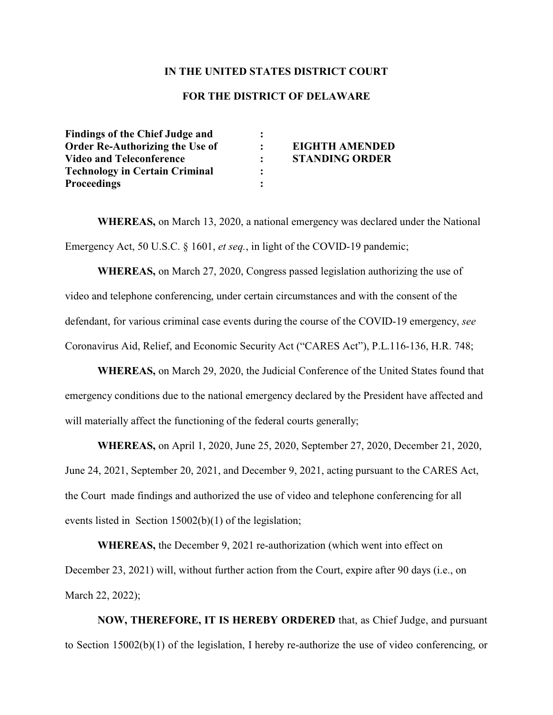## **IN THE UNITED STATES DISTRICT COURT**

## **FOR THE DISTRICT OF DELAWARE**

| <b>Findings of the Chief Judge and</b> |                       |
|----------------------------------------|-----------------------|
| <b>Order Re-Authorizing the Use of</b> | <b>EIGHTH AMENDED</b> |
| <b>Video and Teleconference</b>        | <b>STANDING ORDER</b> |
| <b>Technology in Certain Criminal</b>  |                       |
| <b>Proceedings</b>                     |                       |

**WHEREAS,** on March 13, 2020, a national emergency was declared under the National Emergency Act, 50 U.S.C. § 1601, *et seq.*, in light of the COVID-19 pandemic;

**WHEREAS,** on March 27, 2020, Congress passed legislation authorizing the use of video and telephone conferencing, under certain circumstances and with the consent of the defendant, for various criminal case events during the course of the COVID-19 emergency, *see*  Coronavirus Aid, Relief, and Economic Security Act ("CARES Act"), P.L.116-136, H.R. 748;

**WHEREAS,** on March 29, 2020, the Judicial Conference of the United States found that emergency conditions due to the national emergency declared by the President have affected and will materially affect the functioning of the federal courts generally;

**WHEREAS,** on April 1, 2020, June 25, 2020, September 27, 2020, December 21, 2020, June 24, 2021, September 20, 2021, and December 9, 2021, acting pursuant to the CARES Act, the Court made findings and authorized the use of video and telephone conferencing for all events listed in Section 15002(b)(1) of the legislation;

**WHEREAS,** the December 9, 2021 re-authorization (which went into effect on December 23, 2021) will, without further action from the Court, expire after 90 days (i.e., on March 22, 2022);

**NOW, THEREFORE, IT IS HEREBY ORDERED** that, as Chief Judge, and pursuant to Section 15002(b)(1) of the legislation, I hereby re-authorize the use of video conferencing, or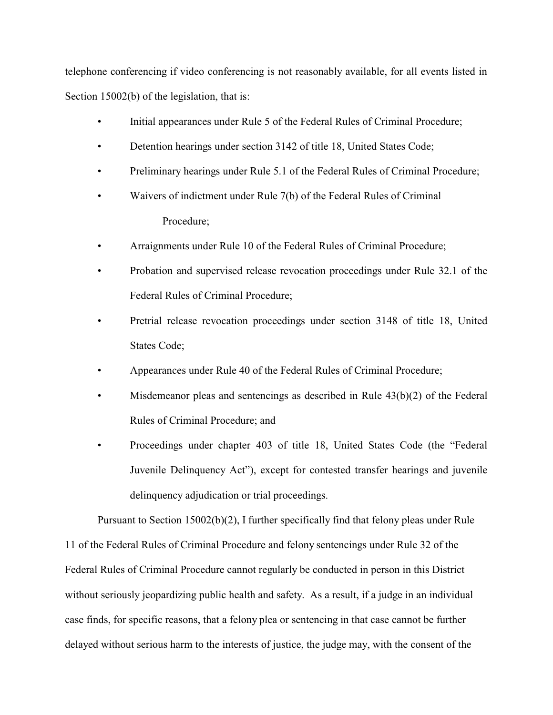telephone conferencing if video conferencing is not reasonably available, for all events listed in Section 15002(b) of the legislation, that is:

- Initial appearances under Rule 5 of the Federal Rules of Criminal Procedure;
- Detention hearings under section 3142 of title 18, United States Code;
- Preliminary hearings under Rule 5.1 of the Federal Rules of Criminal Procedure;
- Waivers of indictment under Rule 7(b) of the Federal Rules of Criminal Procedure;
- Arraignments under Rule 10 of the Federal Rules of Criminal Procedure;
- Probation and supervised release revocation proceedings under Rule 32.1 of the Federal Rules of Criminal Procedure;
- Pretrial release revocation proceedings under section 3148 of title 18, United States Code;
- Appearances under Rule 40 of the Federal Rules of Criminal Procedure;
- Misdemeanor pleas and sentencings as described in Rule  $43(b)(2)$  of the Federal Rules of Criminal Procedure; and
- Proceedings under chapter 403 of title 18, United States Code (the "Federal Juvenile Delinquency Act"), except for contested transfer hearings and juvenile delinquency adjudication or trial proceedings.

Pursuant to Section 15002(b)(2), I further specifically find that felony pleas under Rule 11 of the Federal Rules of Criminal Procedure and felony sentencings under Rule 32 of the Federal Rules of Criminal Procedure cannot regularly be conducted in person in this District without seriously jeopardizing public health and safety. As a result, if a judge in an individual case finds, for specific reasons, that a felony plea or sentencing in that case cannot be further delayed without serious harm to the interests of justice, the judge may, with the consent of the